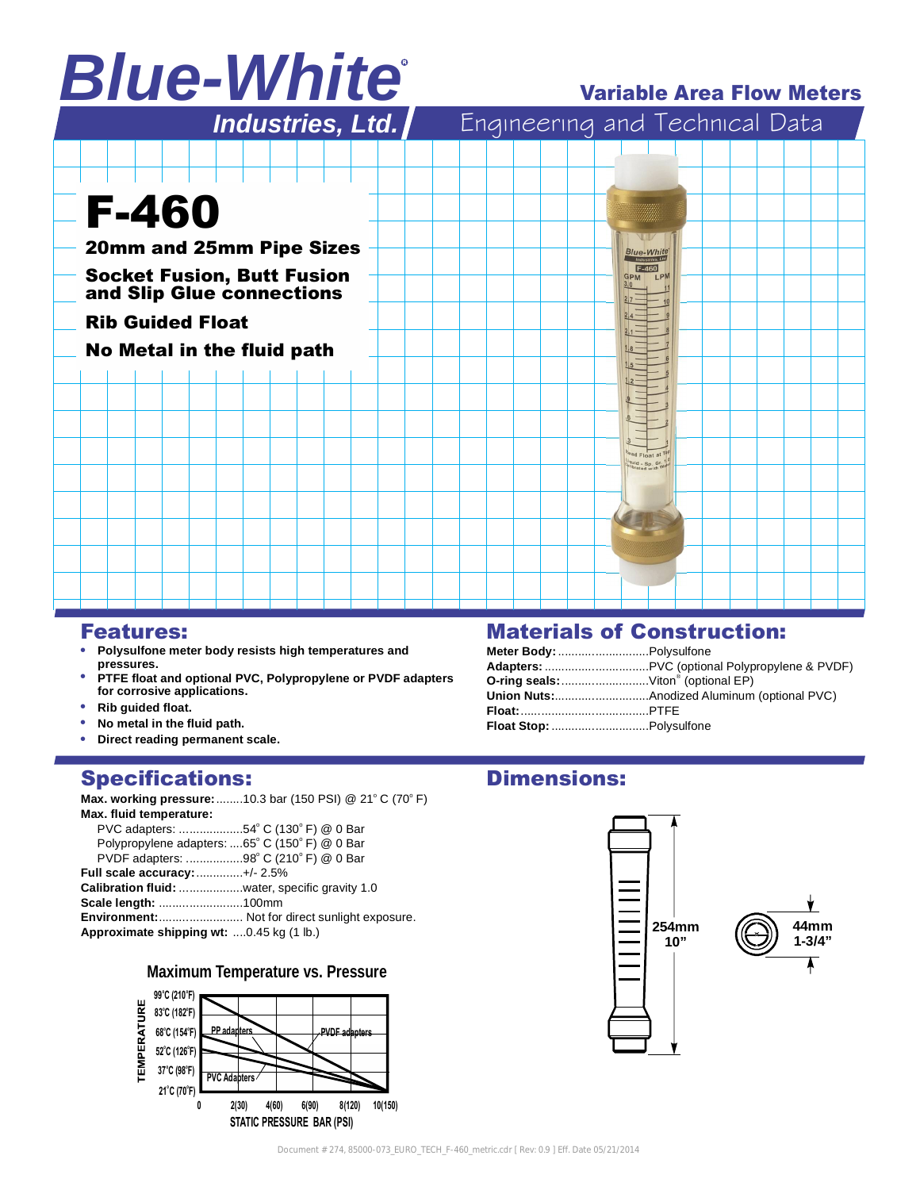# *Blue-White*

# Variable Area Flow Meters



## Features:

- **Polysulfone meter body resists high temperatures and pressures.**
- **PTFE float and optional PVC, Polypropylene or PVDF adapters for corrosive applications.**
- **Rib guided float.**
- **No metal in the fluid path.**
- **Direct reading permanent scale.**

## Specifications:

**Max. working pressure:**........10.3 bar (150 PSI) @ 21°C (70°F) **Max. fluid temperature:**

| PVC adapters: 54° C (130° F) @ 0 Bar           |                                                       |
|------------------------------------------------|-------------------------------------------------------|
| Polypropylene adapters: 65° C (150° F) @ 0 Bar |                                                       |
| PVDF adapters: 98° C (210° F) @ 0 Bar          |                                                       |
| <b>Full scale accuracy:</b> +/- 2.5%           |                                                       |
| Calibration fluid: water, specific gravity 1.0 |                                                       |
| Scale length: 100mm                            |                                                       |
|                                                | <b>Environment:</b> Not for direct sunlight exposure. |
| Approximate shipping wt: 0.45 kg (1 lb.)       |                                                       |
|                                                |                                                       |

## **Maximum Temperature vs. Pressure**



# Materials of Construction:

| Meter Body:  Polysulfone                              |  |
|-------------------------------------------------------|--|
|                                                       |  |
| <b>O-ring seals:</b> Viton <sup>®</sup> (optional EP) |  |
|                                                       |  |
|                                                       |  |
|                                                       |  |

# Dimensions: